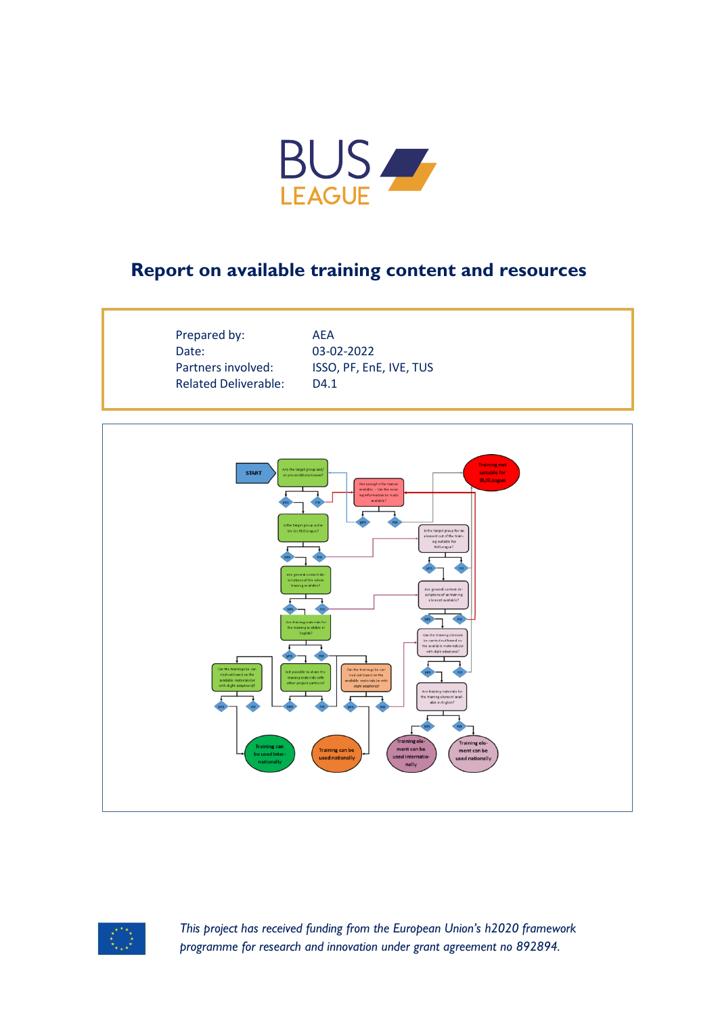

## **Report on available training content and resources**

Prepared by: AEA Date: 03-02-2022 Related Deliverable: D4.1

Partners involved: ISSO, PF, EnE, IVE, TUS





*This project has received funding from the European Union's h2020 framework programme for research and innovation under grant agreement no 892894.*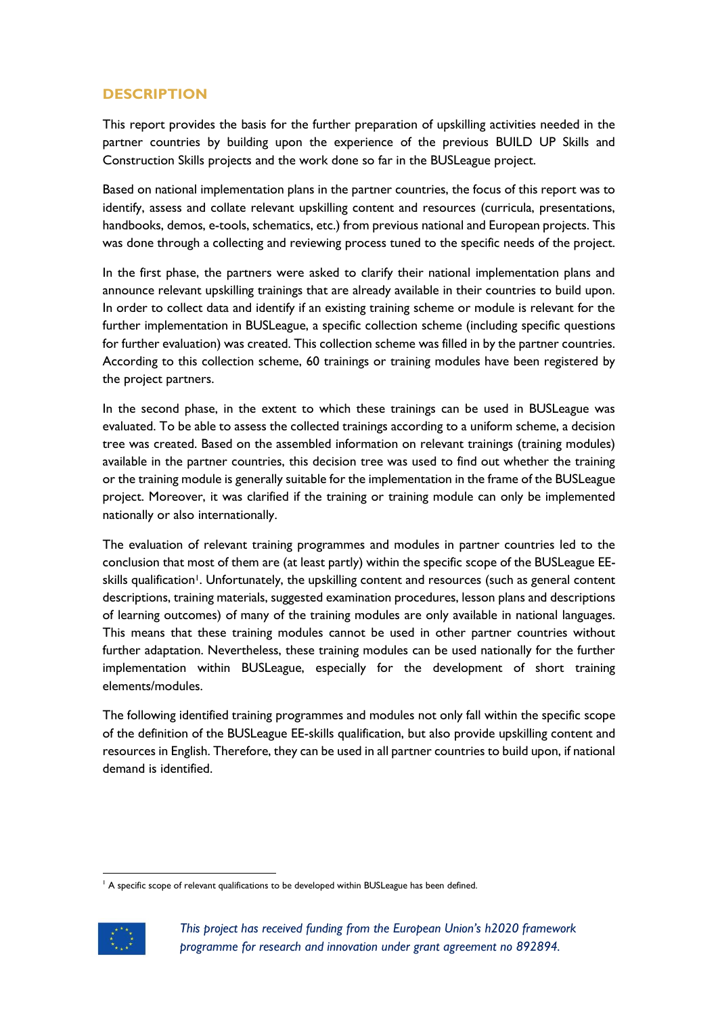## **DESCRIPTION**

This report provides the basis for the further preparation of upskilling activities needed in the partner countries by building upon the experience of the previous BUILD UP Skills and Construction Skills projects and the work done so far in the BUSLeague project.

Based on national implementation plans in the partner countries, the focus of this report was to identify, assess and collate relevant upskilling content and resources (curricula, presentations, handbooks, demos, e-tools, schematics, etc.) from previous national and European projects. This was done through a collecting and reviewing process tuned to the specific needs of the project.

In the first phase, the partners were asked to clarify their national implementation plans and announce relevant upskilling trainings that are already available in their countries to build upon. In order to collect data and identify if an existing training scheme or module is relevant for the further implementation in BUSLeague, a specific collection scheme (including specific questions for further evaluation) was created. This collection scheme was filled in by the partner countries. According to this collection scheme, 60 trainings or training modules have been registered by the project partners.

In the second phase, in the extent to which these trainings can be used in BUSLeague was evaluated. To be able to assess the collected trainings according to a uniform scheme, a decision tree was created. Based on the assembled information on relevant trainings (training modules) available in the partner countries, this decision tree was used to find out whether the training or the training module is generally suitable for the implementation in the frame of the BUSLeague project. Moreover, it was clarified if the training or training module can only be implemented nationally or also internationally.

The evaluation of relevant training programmes and modules in partner countries led to the conclusion that most of them are (at least partly) within the specific scope of the BUSLeague EEskills qualification<sup>1</sup>. Unfortunately, the upskilling content and resources (such as general content descriptions, training materials, suggested examination procedures, lesson plans and descriptions of learning outcomes) of many of the training modules are only available in national languages. This means that these training modules cannot be used in other partner countries without further adaptation. Nevertheless, these training modules can be used nationally for the further implementation within BUSLeague, especially for the development of short training elements/modules.

The following identified training programmes and modules not only fall within the specific scope of the definition of the BUSLeague EE-skills qualification, but also provide upskilling content and resources in English. Therefore, they can be used in all partner countries to build upon, if national demand is identified.

<sup>&</sup>lt;sup>1</sup> A specific scope of relevant qualifications to be developed within BUSLeague has been defined.



*This project has received funding from the European Union's h2020 framework programme for research and innovation under grant agreement no 892894.*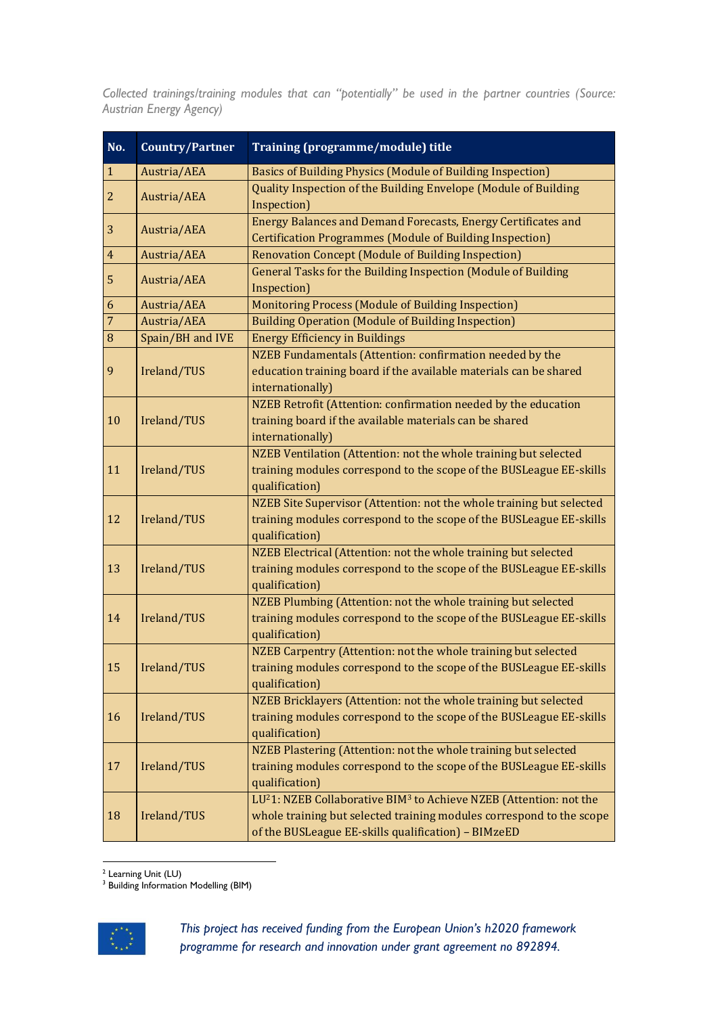*Collected trainings/training modules that can "potentially" be used in the partner countries (Source: Austrian Energy Agency)*

| No.            | <b>Country/Partner</b> | Training (programme/module) title                                                                                                                                                                                         |
|----------------|------------------------|---------------------------------------------------------------------------------------------------------------------------------------------------------------------------------------------------------------------------|
| $\mathbf{1}$   | Austria/AEA            | <b>Basics of Building Physics (Module of Building Inspection)</b>                                                                                                                                                         |
| $\overline{2}$ | Austria/AEA            | Quality Inspection of the Building Envelope (Module of Building<br>Inspection)                                                                                                                                            |
| 3              | Austria/AEA            | Energy Balances and Demand Forecasts, Energy Certificates and<br><b>Certification Programmes (Module of Building Inspection)</b>                                                                                          |
| $\overline{4}$ | Austria/AEA            | <b>Renovation Concept (Module of Building Inspection)</b>                                                                                                                                                                 |
| 5              | Austria/AEA            | <b>General Tasks for the Building Inspection (Module of Building</b><br>Inspection)                                                                                                                                       |
| 6              | Austria/AEA            | Monitoring Process (Module of Building Inspection)                                                                                                                                                                        |
| $\overline{7}$ | Austria/AEA            | <b>Building Operation (Module of Building Inspection)</b>                                                                                                                                                                 |
| $\, 8$         | Spain/BH and IVE       | <b>Energy Efficiency in Buildings</b>                                                                                                                                                                                     |
| 9              | Ireland/TUS            | NZEB Fundamentals (Attention: confirmation needed by the<br>education training board if the available materials can be shared<br>internationally)                                                                         |
| 10             | Ireland/TUS            | NZEB Retrofit (Attention: confirmation needed by the education<br>training board if the available materials can be shared<br>internationally)                                                                             |
| 11             | Ireland/TUS            | NZEB Ventilation (Attention: not the whole training but selected<br>training modules correspond to the scope of the BUSLeague EE-skills<br>qualification)                                                                 |
| 12             | Ireland/TUS            | NZEB Site Supervisor (Attention: not the whole training but selected<br>training modules correspond to the scope of the BUSLeague EE-skills<br>qualification)                                                             |
| 13             | Ireland/TUS            | NZEB Electrical (Attention: not the whole training but selected<br>training modules correspond to the scope of the BUSLeague EE-skills<br>qualification)                                                                  |
| 14             | Ireland/TUS            | NZEB Plumbing (Attention: not the whole training but selected<br>training modules correspond to the scope of the BUSLeague EE-skills<br>qualification)                                                                    |
| 15             | Ireland/TUS            | NZEB Carpentry (Attention: not the whole training but selected<br>training modules correspond to the scope of the BUSLeague EE-skills<br>qualification)                                                                   |
| 16             | Ireland/TUS            | NZEB Bricklayers (Attention: not the whole training but selected<br>training modules correspond to the scope of the BUSLeague EE-skills<br>qualification)                                                                 |
| 17             | Ireland/TUS            | NZEB Plastering (Attention: not the whole training but selected<br>training modules correspond to the scope of the BUSLeague EE-skills<br>qualification)                                                                  |
| 18             | Ireland/TUS            | LU <sup>2</sup> 1: NZEB Collaborative BIM <sup>3</sup> to Achieve NZEB (Attention: not the<br>whole training but selected training modules correspond to the scope<br>of the BUSLeague EE-skills qualification) - BIMzeED |

<sup>2</sup> Learning Unit (LU)

<sup>3</sup> Building Information Modelling (BIM)

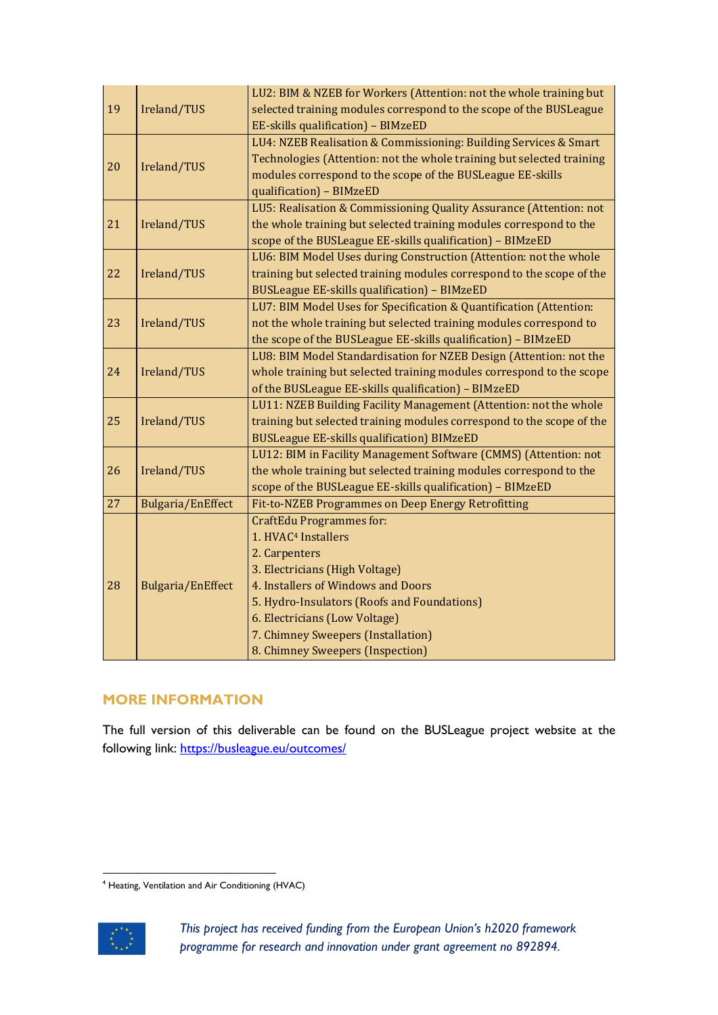|    |                          | LU2: BIM & NZEB for Workers (Attention: not the whole training but    |
|----|--------------------------|-----------------------------------------------------------------------|
| 19 | Ireland/TUS              | selected training modules correspond to the scope of the BUSLeague    |
|    |                          | EE-skills qualification) - BIMzeED                                    |
|    | Ireland/TUS              | LU4: NZEB Realisation & Commissioning: Building Services & Smart      |
|    |                          | Technologies (Attention: not the whole training but selected training |
| 20 |                          | modules correspond to the scope of the BUSLeague EE-skills            |
|    |                          | qualification) - BIMzeED                                              |
| 21 | Ireland/TUS              | LU5: Realisation & Commissioning Quality Assurance (Attention: not    |
|    |                          | the whole training but selected training modules correspond to the    |
|    |                          | scope of the BUSLeague EE-skills qualification) - BIMzeED             |
| 22 | Ireland/TUS              | LU6: BIM Model Uses during Construction (Attention: not the whole     |
|    |                          | training but selected training modules correspond to the scope of the |
|    |                          | <b>BUSLeague EE-skills qualification) - BIMzeED</b>                   |
|    | Ireland/TUS              | LU7: BIM Model Uses for Specification & Quantification (Attention:    |
| 23 |                          | not the whole training but selected training modules correspond to    |
|    |                          | the scope of the BUSLeague EE-skills qualification) - BIMzeED         |
| 24 | Ireland/TUS              | LU8: BIM Model Standardisation for NZEB Design (Attention: not the    |
|    |                          | whole training but selected training modules correspond to the scope  |
|    |                          | of the BUSLeague EE-skills qualification) - BIMzeED                   |
| 25 | Ireland/TUS              | LU11: NZEB Building Facility Management (Attention: not the whole     |
|    |                          | training but selected training modules correspond to the scope of the |
|    |                          | <b>BUSLeague EE-skills qualification) BIMzeED</b>                     |
|    | Ireland/TUS              | LU12: BIM in Facility Management Software (CMMS) (Attention: not      |
| 26 |                          | the whole training but selected training modules correspond to the    |
|    |                          | scope of the BUSLeague EE-skills qualification) - BIMzeED             |
| 27 | <b>Bulgaria/EnEffect</b> | Fit-to-NZEB Programmes on Deep Energy Retrofitting                    |
|    | <b>Bulgaria/EnEffect</b> | <b>CraftEdu Programmes for:</b>                                       |
|    |                          | 1. HVAC <sup>4</sup> Installers                                       |
|    |                          | 2. Carpenters                                                         |
|    |                          | 3. Electricians (High Voltage)                                        |
| 28 |                          | 4. Installers of Windows and Doors                                    |
|    |                          | 5. Hydro-Insulators (Roofs and Foundations)                           |
|    |                          | 6. Electricians (Low Voltage)                                         |
|    |                          | 7. Chimney Sweepers (Installation)                                    |
|    |                          | 8. Chimney Sweepers (Inspection)                                      |

## **MORE INFORMATION**

The full version of this deliverable can be found on the BUSLeague project website at the following link:<https://busleague.eu/outcomes/>

<sup>4</sup> Heating, Ventilation and Air Conditioning (HVAC)